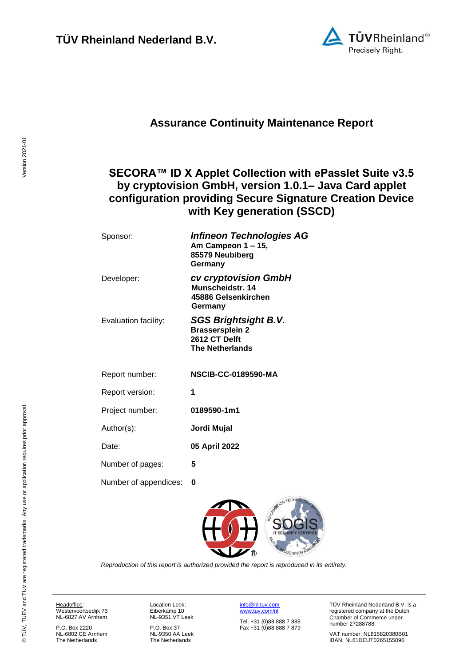

### **Assurance Continuity Maintenance Report**

### <span id="page-0-2"></span>**SECORA™ ID X Applet Collection with ePasslet Suite v3.5 by cryptovision GmbH, version 1.0.1– Java Card applet configuration providing Secure Signature Creation Device with Key generation (SSCD)**

<span id="page-0-3"></span>

| Sponsor:              | Infineon Technologies AG<br>Am Campeon 1 – 15,<br>85579 Neubiberg<br>Germany                     |
|-----------------------|--------------------------------------------------------------------------------------------------|
| Developer:            | cv cryptovision GmbH<br>Munscheidstr. 14<br>45886 Gelsenkirchen<br>Germany                       |
| Evaluation facility:  | <b>SGS Brightsight B.V.</b><br><b>Brassersplein 2</b><br>2612 CT Delft<br><b>The Netherlands</b> |
| Report number:        | <b>NSCIB-CC-0189590-MA</b>                                                                       |
| Report version:       | 1                                                                                                |
| Project number:       | 0189590-1m1                                                                                      |
| Author(s):            | Jordi Mujal                                                                                      |
| Date:                 | 05 April 2022                                                                                    |
| Number of pages:      | 5                                                                                                |
| Number of appendices: | 0                                                                                                |

<span id="page-0-1"></span><span id="page-0-0"></span>

*Reproduction of this report is authorized provided the report is reproduced in its entirety.*

Headoffice: Westervoortsedijk 73

NL-6827 AV Arnhem P.O. Box 2220

NL-6802 CE Arnhem The Netherlands

Location Leek: Eiberkamp 10 NL-9351 VT Leek

P.O. Box 37 NL-9350 AA Leek The Netherlands

[info@nl.tuv.com](mailto:info@nl.tuv.com) [www.tuv.com/nl](http://www.tuv.com/nl) Tel. +31 (0)88 888 7 888 Fax +31 (0)88 888 7 879 TÜV Rheinland Nederland B.V. is a registered company at the Dutch Chamber of Commerce under number 27288788

VAT number: NL815820380B01 IBAN: NL61DEUT0265155096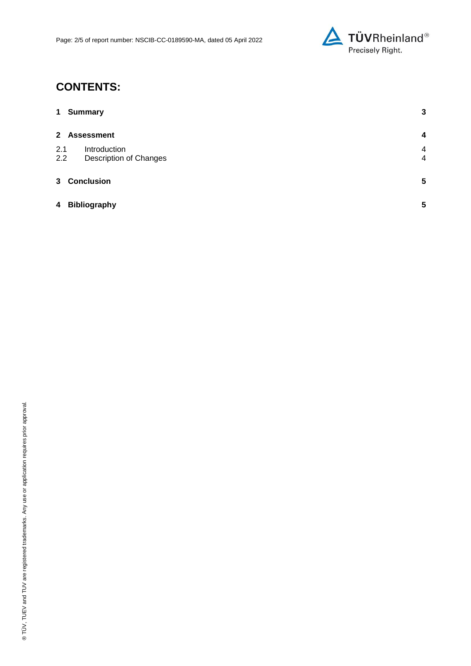

# **CONTENTS:**

| $\mathbf 1$  | <b>Summary</b>                                | 3                                |
|--------------|-----------------------------------------------|----------------------------------|
| $\mathbf{2}$ | <b>Assessment</b>                             | $\overline{\mathbf{4}}$          |
| 2.1<br>2.2   | Introduction<br><b>Description of Changes</b> | $\overline{4}$<br>$\overline{4}$ |
| $3^{\circ}$  | <b>Conclusion</b>                             | $5\phantom{.0}$                  |
| 4            | <b>Bibliography</b>                           | 5                                |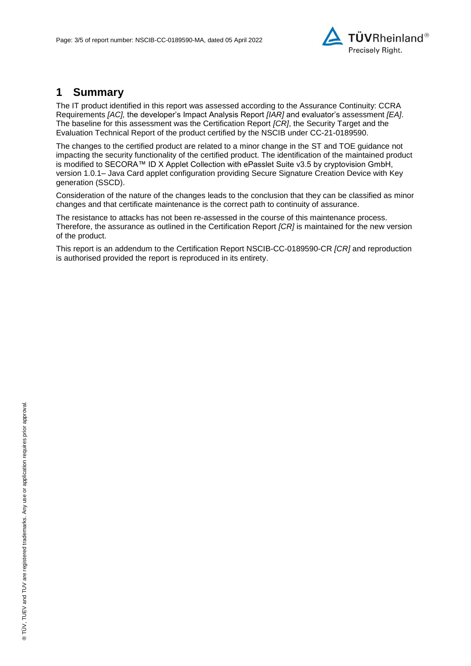

#### **1 Summary**

The IT product identified in this report was assessed according to the Assurance Continuity: CCRA Requirements *[AC],* the developer's Impact Analysis Report *[IAR]* and evaluator's assessment *[EA]*. The baseline for this assessment was the Certification Report *[CR]*, the Security Target and the Evaluation Technical Report of the product certified by the NSCIB under CC-21[-0189590.](#page-0-0)

The changes to the certified product are related to a minor change in the ST and TOE guidance not impacting the security functionality of the certified product. The identification of the maintained product is modified to [SECORA™ ID X Applet Collection with ePasslet Suite v3.5 by cryptovision GmbH,](#page-0-2)  version 1.0.1– [Java Card applet configuration providing Secure Signature Creation Device with Key](#page-0-2)  [generation \(SSCD\).](#page-0-2)

Consideration of the nature of the changes leads to the conclusion that they can be classified as minor changes and that certificate maintenance is the correct path to continuity of assurance.

The resistance to attacks has not been re-assessed in the course of this maintenance process. Therefore, the assurance as outlined in the Certification Report *[CR]* is maintained for the new version of the product.

This report is an addendum to the Certification Report NSCIB-CC[-0189590-](#page-0-0)CR *[CR]* and reproduction is authorised provided the report is reproduced in its entirety.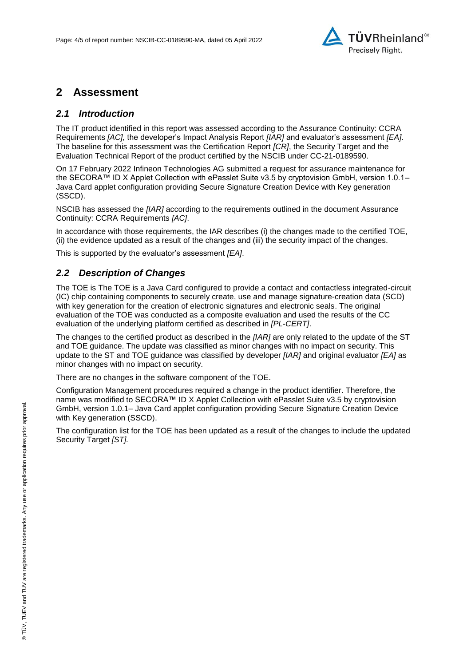

#### **2 Assessment**

#### *2.1 Introduction*

The IT product identified in this report was assessed according to the Assurance Continuity: CCRA Requirements *[AC],* the developer's Impact Analysis Report *[IAR]* and evaluator's assessment *[EA]*. The baseline for this assessment was the Certification Report *[CR]*, the Security Target and the Evaluation Technical Report of the product certified by the NSCIB under CC-21[-0189590.](#page-0-0)

On 17 February 2022 [Infineon Technologies AG](#page-0-3) submitted a request for assurance maintenance for the [SECORA™ ID X Applet Collection with ePasslet Suite v3.5 by cryptovision GmbH, version 1.0.1–](#page-0-2) [Java Card applet configuration providing Secure Signature Creation Device with Key generation](#page-0-2)  [\(SSCD\).](#page-0-2)

NSCIB has assessed the *[IAR]* according to the requirements outlined in the document Assurance Continuity: CCRA Requirements *[AC]*.

In accordance with those requirements, the IAR describes (i) the changes made to the certified TOE, (ii) the evidence updated as a result of the changes and (iii) the security impact of the changes.

This is supported by the evaluator's assessment *[EA]*.

#### *2.2 Description of Changes*

The TOE is The TOE is a Java Card configured to provide a contact and contactless integrated-circuit (IC) chip containing components to securely create, use and manage signature-creation data (SCD) with key generation for the creation of electronic signatures and electronic seals. The original evaluation of the TOE was conducted as a composite evaluation and used the results of the CC evaluation of the underlying platform certified as described in *[PL-CERT]*.

The changes to the certified product as described in the *[IAR]* are only related to the update of the ST and TOE guidance. The update was classified as minor changes with no impact on security. This update to the ST and TOE guidance was classified by developer *[IAR]* and original evaluator *[EA]* as minor changes with no impact on security.

There are no changes in the software component of the TOE.

Configuration Management procedures required a change in the product identifier. Therefore, the name was modified to [SECORA™ ID X Applet Collection with ePasslet Suite v3.5 by cryptovision](#page-0-2)  GmbH, version 1.0.1– [Java Card applet configuration providing Secure Signature Creation Device](#page-0-2)  [with Key generation \(SSCD\).](#page-0-2)

The configuration list for the TOE has been updated as a result of the changes to include the updated Security Target *[ST].*